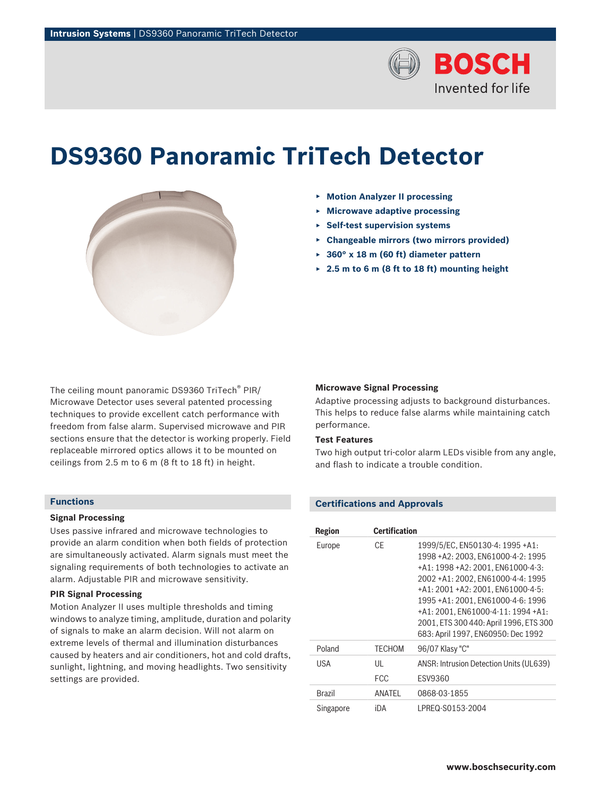

# **DS9360 Panoramic TriTech Detector**



- ▶ **Motion Analyzer II processing**
- ▶ **Microwave adaptive processing**
- ▶ **Self-test supervision systems**
- ▶ **Changeable mirrors (two mirrors provided)**
- ▶ **360° x 18 m (60 ft) diameter pattern**
- ▶ **2.5 m to 6 m (8 ft to 18 ft) mounting height**

The ceiling mount panoramic DS9360 TriTech® PIR/ Microwave Detector uses several patented processing techniques to provide excellent catch performance with freedom from false alarm. Supervised microwave and PIR sections ensure that the detector is working properly. Field replaceable mirrored optics allows it to be mounted on ceilings from 2.5 m to 6 m (8 ft to 18 ft) in height.

## **Functions**

## **Signal Processing**

Uses passive infrared and microwave technologies to provide an alarm condition when both fields of protection are simultaneously activated. Alarm signals must meet the signaling requirements of both technologies to activate an alarm. Adjustable PIR and microwave sensitivity.

## **PIR Signal Processing**

Motion Analyzer II uses multiple thresholds and timing windows to analyze timing, amplitude, duration and polarity of signals to make an alarm decision. Will not alarm on extreme levels of thermal and illumination disturbances caused by heaters and air conditioners, hot and cold drafts, sunlight, lightning, and moving headlights. Two sensitivity settings are provided.

## **Microwave Signal Processing**

Adaptive processing adjusts to background disturbances. This helps to reduce false alarms while maintaining catch performance.

## **Test Features**

Two high output tri-color alarm LEDs visible from any angle, and flash to indicate a trouble condition.

# **Certifications and Approvals**

| <b>Region</b> | <b>Certification</b> |                                                                                                                                                                                                                                                                                                                                                     |
|---------------|----------------------|-----------------------------------------------------------------------------------------------------------------------------------------------------------------------------------------------------------------------------------------------------------------------------------------------------------------------------------------------------|
| Europe        | CF                   | 1999/5/EC, EN50130-4: 1995 +A1:<br>1998 + A2: 2003. EN 61000-4-2: 1995<br>+A1: 1998 +A2: 2001, EN61000-4-3:<br>2002 + A1: 2002. EN 61000-4-4: 1995<br>+A1: 2001 +A2: 2001. EN61000-4-5:<br>1995 + A1: 2001, EN61000-4-6: 1996<br>+A1: 2001. EN61000-4-11: 1994 +A1:<br>2001, ETS 300 440: April 1996, ETS 300<br>683: April 1997, EN60950: Dec 1992 |
| Poland        | <b>TFCHOM</b>        | 96/07 Klasy "C"                                                                                                                                                                                                                                                                                                                                     |
| <b>USA</b>    | UL<br><b>FCC</b>     | ANSR: Intrusion Detection Units (UL639)<br><b>FSV9360</b>                                                                                                                                                                                                                                                                                           |
| <b>Brazil</b> | ANATFI               | 0868-03-1855                                                                                                                                                                                                                                                                                                                                        |
| Singapore     | iDA                  | LPREQ-S0153-2004                                                                                                                                                                                                                                                                                                                                    |